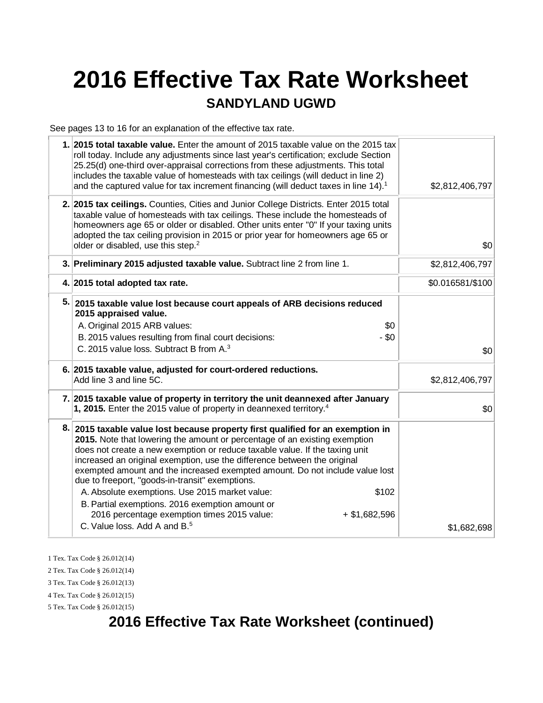# **2016 Effective Tax Rate Worksheet**

#### **SANDYLAND UGWD**

See pages 13 to 16 for an explanation of the effective tax rate.

| 1. 2015 total taxable value. Enter the amount of 2015 taxable value on the 2015 tax<br>roll today. Include any adjustments since last year's certification; exclude Section<br>25.25(d) one-third over-appraisal corrections from these adjustments. This total<br>includes the taxable value of homesteads with tax ceilings (will deduct in line 2)<br>and the captured value for tax increment financing (will deduct taxes in line 14). <sup>1</sup>                                                                                                                  | \$2,812,406,797  |
|---------------------------------------------------------------------------------------------------------------------------------------------------------------------------------------------------------------------------------------------------------------------------------------------------------------------------------------------------------------------------------------------------------------------------------------------------------------------------------------------------------------------------------------------------------------------------|------------------|
| 2. 2015 tax ceilings. Counties, Cities and Junior College Districts. Enter 2015 total<br>taxable value of homesteads with tax ceilings. These include the homesteads of<br>homeowners age 65 or older or disabled. Other units enter "0" If your taxing units<br>adopted the tax ceiling provision in 2015 or prior year for homeowners age 65 or<br>older or disabled, use this step. <sup>2</sup>                                                                                                                                                                       | \$0              |
| 3. Preliminary 2015 adjusted taxable value. Subtract line 2 from line 1.                                                                                                                                                                                                                                                                                                                                                                                                                                                                                                  | \$2,812,406,797  |
| 4. 2015 total adopted tax rate.                                                                                                                                                                                                                                                                                                                                                                                                                                                                                                                                           | \$0.016581/\$100 |
| 5. 2015 taxable value lost because court appeals of ARB decisions reduced<br>2015 appraised value.<br>\$0<br>A. Original 2015 ARB values:<br>$-$ \$0<br>B. 2015 values resulting from final court decisions:<br>C. 2015 value loss. Subtract B from A. <sup>3</sup>                                                                                                                                                                                                                                                                                                       | \$0              |
| 6. 2015 taxable value, adjusted for court-ordered reductions.<br>Add line 3 and line 5C.                                                                                                                                                                                                                                                                                                                                                                                                                                                                                  | \$2,812,406,797  |
| 7. 2015 taxable value of property in territory the unit deannexed after January<br>1, 2015. Enter the 2015 value of property in deannexed territory. <sup>4</sup>                                                                                                                                                                                                                                                                                                                                                                                                         | \$0              |
| 8. 2015 taxable value lost because property first qualified for an exemption in<br>2015. Note that lowering the amount or percentage of an existing exemption<br>does not create a new exemption or reduce taxable value. If the taxing unit<br>increased an original exemption, use the difference between the original<br>exempted amount and the increased exempted amount. Do not include value lost<br>due to freeport, "goods-in-transit" exemptions.<br>A. Absolute exemptions. Use 2015 market value:<br>\$102<br>B. Partial exemptions. 2016 exemption amount or |                  |
| 2016 percentage exemption times 2015 value:<br>$+$ \$1,682,596                                                                                                                                                                                                                                                                                                                                                                                                                                                                                                            |                  |
| C. Value loss. Add A and B. <sup>5</sup>                                                                                                                                                                                                                                                                                                                                                                                                                                                                                                                                  | \$1,682,698      |

1 Tex. Tax Code § 26.012(14)

2 Tex. Tax Code § 26.012(14)

3 Tex. Tax Code § 26.012(13)

4 Tex. Tax Code § 26.012(15) 5 Tex. Tax Code § 26.012(15)

# **2016 Effective Tax Rate Worksheet (continued)**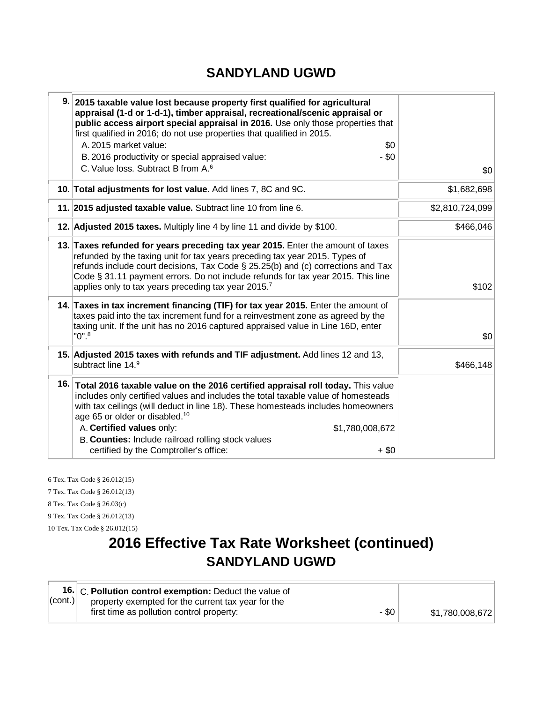#### **SANDYLAND UGWD**

| 9. 2015 taxable value lost because property first qualified for agricultural<br>appraisal (1-d or 1-d-1), timber appraisal, recreational/scenic appraisal or<br>public access airport special appraisal in 2016. Use only those properties that<br>first qualified in 2016; do not use properties that qualified in 2015.<br>A. 2015 market value:<br>\$0<br>$-$ \$0<br>B. 2016 productivity or special appraised value:<br>C. Value loss. Subtract B from A. <sup>6</sup> | \$0             |
|----------------------------------------------------------------------------------------------------------------------------------------------------------------------------------------------------------------------------------------------------------------------------------------------------------------------------------------------------------------------------------------------------------------------------------------------------------------------------|-----------------|
| 10. Total adjustments for lost value. Add lines 7, 8C and 9C.                                                                                                                                                                                                                                                                                                                                                                                                              | \$1,682,698     |
| 11. 2015 adjusted taxable value. Subtract line 10 from line 6.                                                                                                                                                                                                                                                                                                                                                                                                             | \$2,810,724,099 |
| 12. Adjusted 2015 taxes. Multiply line 4 by line 11 and divide by \$100.                                                                                                                                                                                                                                                                                                                                                                                                   | \$466,046       |
| 13. Taxes refunded for years preceding tax year 2015. Enter the amount of taxes<br>refunded by the taxing unit for tax years preceding tax year 2015. Types of<br>refunds include court decisions, Tax Code $\S$ 25.25(b) and (c) corrections and Tax<br>Code § 31.11 payment errors. Do not include refunds for tax year 2015. This line<br>applies only to tax years preceding tax year 2015.7                                                                           | \$102           |
| 14. Taxes in tax increment financing (TIF) for tax year 2015. Enter the amount of<br>taxes paid into the tax increment fund for a reinvestment zone as agreed by the<br>taxing unit. If the unit has no 2016 captured appraised value in Line 16D, enter<br>$"0".^8$                                                                                                                                                                                                       | \$0             |
| 15. Adjusted 2015 taxes with refunds and TIF adjustment. Add lines 12 and 13,<br>subtract line 14.9                                                                                                                                                                                                                                                                                                                                                                        | \$466,148       |
| 16. Total 2016 taxable value on the 2016 certified appraisal roll today. This value<br>includes only certified values and includes the total taxable value of homesteads<br>with tax ceilings (will deduct in line 18). These homesteads includes homeowners<br>age 65 or older or disabled. <sup>10</sup><br>A. Certified values only:<br>\$1,780,008,672<br>B. Counties: Include railroad rolling stock values<br>certified by the Comptroller's office:<br>$+$ \$0      |                 |

6 Tex. Tax Code § 26.012(15) 7 Tex. Tax Code § 26.012(13) 8 Tex. Tax Code § 26.03(c) 9 Tex. Tax Code § 26.012(13) 10 Tex. Tax Code § 26.012(15)

# **2016 Effective Tax Rate Worksheet (continued) SANDYLAND UGWD**

|                    | 16. C. Pollution control exemption: Deduct the value of |                 |
|--------------------|---------------------------------------------------------|-----------------|
| $ _{\rm (cont.)} $ | property exempted for the current tax year for the      |                 |
|                    | - \$0<br>first time as pollution control property:      | \$1,780,008,672 |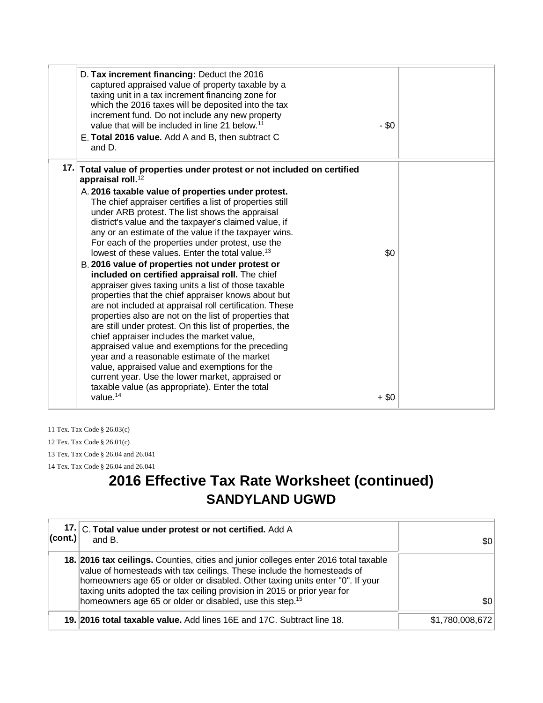| D. Tax increment financing: Deduct the 2016<br>captured appraised value of property taxable by a<br>taxing unit in a tax increment financing zone for<br>which the 2016 taxes will be deposited into the tax<br>increment fund. Do not include any new property<br>value that will be included in line 21 below. <sup>11</sup><br>E. Total 2016 value. Add A and B, then subtract C<br>and D.                                                                                                                                                                                                                                                                                                                                                                                                                                                                                                                                                                                                                                                                                                                                                                                       | $-$ \$0 |
|-------------------------------------------------------------------------------------------------------------------------------------------------------------------------------------------------------------------------------------------------------------------------------------------------------------------------------------------------------------------------------------------------------------------------------------------------------------------------------------------------------------------------------------------------------------------------------------------------------------------------------------------------------------------------------------------------------------------------------------------------------------------------------------------------------------------------------------------------------------------------------------------------------------------------------------------------------------------------------------------------------------------------------------------------------------------------------------------------------------------------------------------------------------------------------------|---------|
| 17. Total value of properties under protest or not included on certified<br>appraisal roll. <sup>12</sup><br>A. 2016 taxable value of properties under protest.<br>The chief appraiser certifies a list of properties still<br>under ARB protest. The list shows the appraisal<br>district's value and the taxpayer's claimed value, if<br>any or an estimate of the value if the taxpayer wins.<br>For each of the properties under protest, use the<br>lowest of these values. Enter the total value. <sup>13</sup><br>B. 2016 value of properties not under protest or<br>included on certified appraisal roll. The chief<br>appraiser gives taxing units a list of those taxable<br>properties that the chief appraiser knows about but<br>are not included at appraisal roll certification. These<br>properties also are not on the list of properties that<br>are still under protest. On this list of properties, the<br>chief appraiser includes the market value,<br>appraised value and exemptions for the preceding<br>year and a reasonable estimate of the market<br>value, appraised value and exemptions for the<br>current year. Use the lower market, appraised or | \$0     |
| taxable value (as appropriate). Enter the total<br>value. $14$                                                                                                                                                                                                                                                                                                                                                                                                                                                                                                                                                                                                                                                                                                                                                                                                                                                                                                                                                                                                                                                                                                                      | $+$ \$0 |

11 Tex. Tax Code § 26.03(c) 12 Tex. Tax Code § 26.01(c) 13 Tex. Tax Code § 26.04 and 26.041 14 Tex. Tax Code § 26.04 and 26.041

## **2016 Effective Tax Rate Worksheet (continued) SANDYLAND UGWD**

| 17.1<br>$ _{\rm (cont.)} $ | C. Total value under protest or not certified. Add A<br>and B.                                                                                                                                                                                                                                                                                                                                      | \$0             |
|----------------------------|-----------------------------------------------------------------------------------------------------------------------------------------------------------------------------------------------------------------------------------------------------------------------------------------------------------------------------------------------------------------------------------------------------|-----------------|
|                            | 18. 2016 tax ceilings. Counties, cities and junior colleges enter 2016 total taxable<br>value of homesteads with tax ceilings. These include the homesteads of<br>homeowners age 65 or older or disabled. Other taxing units enter "0". If your<br>taxing units adopted the tax ceiling provision in 2015 or prior year for<br>homeowners age 65 or older or disabled, use this step. <sup>15</sup> | \$0             |
|                            | 19. 2016 total taxable value. Add lines 16E and 17C. Subtract line 18.                                                                                                                                                                                                                                                                                                                              | \$1,780,008,672 |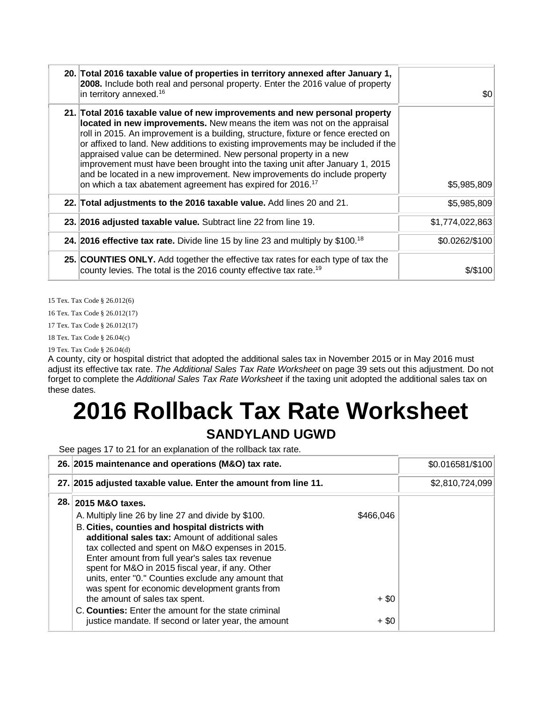| 20. Total 2016 taxable value of properties in territory annexed after January 1,<br>2008. Include both real and personal property. Enter the 2016 value of property<br>in territory annexed. <sup>16</sup>                                                                                                                                                                                                                                                                                                                                                                                                                                     | \$0             |
|------------------------------------------------------------------------------------------------------------------------------------------------------------------------------------------------------------------------------------------------------------------------------------------------------------------------------------------------------------------------------------------------------------------------------------------------------------------------------------------------------------------------------------------------------------------------------------------------------------------------------------------------|-----------------|
| 21. Total 2016 taxable value of new improvements and new personal property<br>located in new improvements. New means the item was not on the appraisal<br>roll in 2015. An improvement is a building, structure, fixture or fence erected on<br>or affixed to land. New additions to existing improvements may be included if the<br>appraised value can be determined. New personal property in a new<br>improvement must have been brought into the taxing unit after January 1, 2015<br>and be located in a new improvement. New improvements do include property<br>on which a tax abatement agreement has expired for 2016. <sup>17</sup> | \$5,985,809     |
| 22. Total adjustments to the 2016 taxable value. Add lines 20 and 21.                                                                                                                                                                                                                                                                                                                                                                                                                                                                                                                                                                          | \$5,985,809     |
| 23. 2016 adjusted taxable value. Subtract line 22 from line 19.                                                                                                                                                                                                                                                                                                                                                                                                                                                                                                                                                                                | \$1,774,022,863 |
| <b>24. 2016 effective tax rate.</b> Divide line 15 by line 23 and multiply by $$100.18$                                                                                                                                                                                                                                                                                                                                                                                                                                                                                                                                                        | \$0.0262/\$100  |
| 25. COUNTIES ONLY. Add together the effective tax rates for each type of tax the<br>county levies. The total is the 2016 county effective tax rate. <sup>19</sup>                                                                                                                                                                                                                                                                                                                                                                                                                                                                              | \$/\$100        |

15 Tex. Tax Code § 26.012(6)

16 Tex. Tax Code § 26.012(17)

17 Tex. Tax Code § 26.012(17)

18 Tex. Tax Code § 26.04(c)

19 Tex. Tax Code § 26.04(d)

A county, city or hospital district that adopted the additional sales tax in November 2015 or in May 2016 must adjust its effective tax rate. *The Additional Sales Tax Rate Worksheet* on page 39 sets out this adjustment. Do not forget to complete the *Additional Sales Tax Rate Worksheet* if the taxing unit adopted the additional sales tax on these dates.

# **2016 Rollback Tax Rate Worksheet SANDYLAND UGWD**

See pages 17 to 21 for an explanation of the rollback tax rate.

| 26. 2015 maintenance and operations (M&O) tax rate.                                                                                                                                                                                                                                                                                                                           |           | \$0.016581/\$100 |
|-------------------------------------------------------------------------------------------------------------------------------------------------------------------------------------------------------------------------------------------------------------------------------------------------------------------------------------------------------------------------------|-----------|------------------|
| 27. 2015 adjusted taxable value. Enter the amount from line 11.                                                                                                                                                                                                                                                                                                               |           | \$2,810,724,099  |
| 28. 2015 M&O taxes.<br>A. Multiply line 26 by line 27 and divide by \$100.                                                                                                                                                                                                                                                                                                    | \$466,046 |                  |
| <b>B. Cities, counties and hospital districts with</b><br>additional sales tax: Amount of additional sales<br>tax collected and spent on M&O expenses in 2015.<br>Enter amount from full year's sales tax revenue<br>spent for M&O in 2015 fiscal year, if any. Other<br>units, enter "0." Counties exclude any amount that<br>was spent for economic development grants from |           |                  |
| the amount of sales tax spent.                                                                                                                                                                                                                                                                                                                                                | $+$ \$0   |                  |
| C. Counties: Enter the amount for the state criminal<br>justice mandate. If second or later year, the amount                                                                                                                                                                                                                                                                  | $+$ \$0   |                  |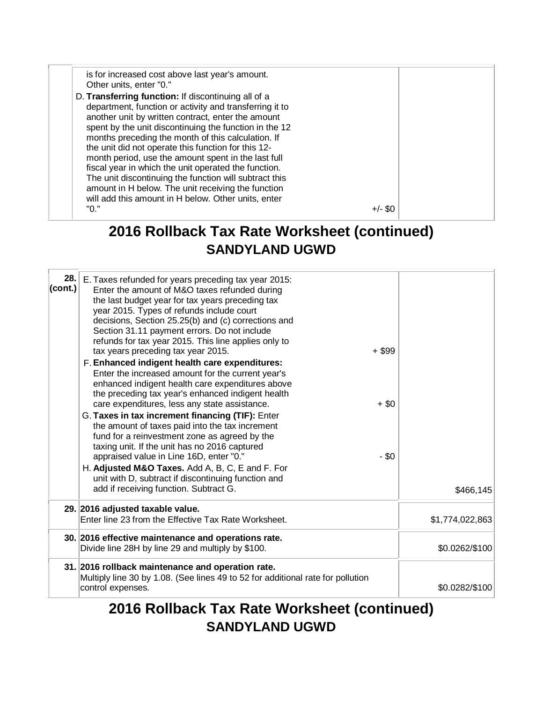is for increased cost above last year's amount. Other units, enter "0." D. **Transferring function:** If discontinuing all of a department, function or activity and transferring it to another unit by written contract, enter the amount spent by the unit discontinuing the function in the 12 months preceding the month of this calculation. If the unit did not operate this function for this 12 month period, use the amount spent in the last full fiscal year in which the unit operated the function. The unit discontinuing the function will subtract this amount in H below. The unit receiving the function will add this amount in H below. Other units, enter  $+/-$  \$0

#### **2016 Rollback Tax Rate Worksheet (continued) SANDYLAND UGWD**

| 28.1<br>(cont.) | E. Taxes refunded for years preceding tax year 2015:<br>Enter the amount of M&O taxes refunded during<br>the last budget year for tax years preceding tax<br>year 2015. Types of refunds include court<br>decisions, Section 25.25(b) and (c) corrections and<br>Section 31.11 payment errors. Do not include<br>refunds for tax year 2015. This line applies only to<br>tax years preceding tax year 2015.<br>F. Enhanced indigent health care expenditures:<br>Enter the increased amount for the current year's<br>enhanced indigent health care expenditures above<br>the preceding tax year's enhanced indigent health<br>care expenditures, less any state assistance.<br>G. Taxes in tax increment financing (TIF): Enter<br>the amount of taxes paid into the tax increment<br>fund for a reinvestment zone as agreed by the<br>taxing unit. If the unit has no 2016 captured<br>appraised value in Line 16D, enter "0."<br>H. Adjusted M&O Taxes. Add A, B, C, E and F. For<br>unit with D, subtract if discontinuing function and<br>add if receiving function. Subtract G. | $+$ \$99<br>$+$ \$0<br>$-$ \$0 | \$466,145       |
|-----------------|---------------------------------------------------------------------------------------------------------------------------------------------------------------------------------------------------------------------------------------------------------------------------------------------------------------------------------------------------------------------------------------------------------------------------------------------------------------------------------------------------------------------------------------------------------------------------------------------------------------------------------------------------------------------------------------------------------------------------------------------------------------------------------------------------------------------------------------------------------------------------------------------------------------------------------------------------------------------------------------------------------------------------------------------------------------------------------------|--------------------------------|-----------------|
|                 | 29. 2016 adjusted taxable value.<br>Enter line 23 from the Effective Tax Rate Worksheet.                                                                                                                                                                                                                                                                                                                                                                                                                                                                                                                                                                                                                                                                                                                                                                                                                                                                                                                                                                                              |                                | \$1,774,022,863 |
|                 | 30. 2016 effective maintenance and operations rate.<br>Divide line 28H by line 29 and multiply by \$100.                                                                                                                                                                                                                                                                                                                                                                                                                                                                                                                                                                                                                                                                                                                                                                                                                                                                                                                                                                              |                                | \$0.0262/\$100  |
|                 | 31. 2016 rollback maintenance and operation rate.<br>Multiply line 30 by 1.08. (See lines 49 to 52 for additional rate for pollution<br>control expenses.                                                                                                                                                                                                                                                                                                                                                                                                                                                                                                                                                                                                                                                                                                                                                                                                                                                                                                                             |                                | \$0.0282/\$100  |

## **2016 Rollback Tax Rate Worksheet (continued) SANDYLAND UGWD**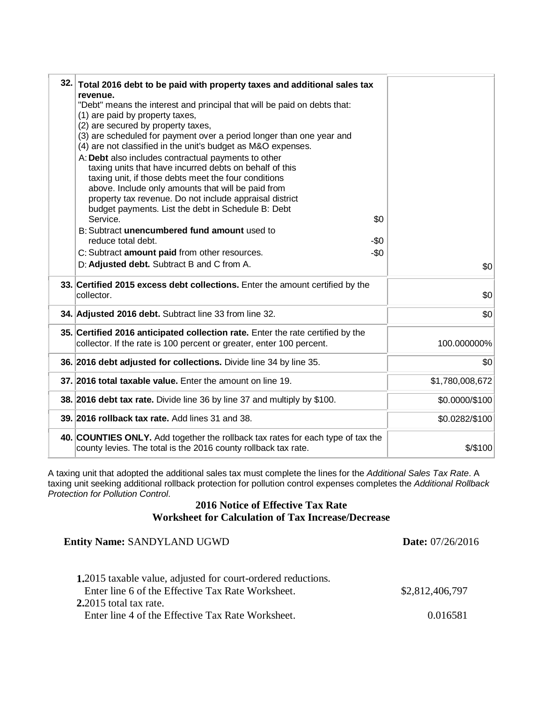| 32. Total 2016 debt to be paid with property taxes and additional sales tax<br>revenue.<br>"Debt" means the interest and principal that will be paid on debts that:<br>(1) are paid by property taxes,<br>(2) are secured by property taxes,<br>(3) are scheduled for payment over a period longer than one year and<br>(4) are not classified in the unit's budget as M&O expenses.<br>A: Debt also includes contractual payments to other<br>taxing units that have incurred debts on behalf of this<br>taxing unit, if those debts meet the four conditions<br>above. Include only amounts that will be paid from<br>property tax revenue. Do not include appraisal district<br>budget payments. List the debt in Schedule B: Debt<br>\$0<br>Service.<br>B: Subtract unencumbered fund amount used to<br>reduce total debt.<br>-\$0<br>$-\$0$<br>C: Subtract amount paid from other resources.<br>D: Adjusted debt. Subtract B and C from A. | \$0             |
|-------------------------------------------------------------------------------------------------------------------------------------------------------------------------------------------------------------------------------------------------------------------------------------------------------------------------------------------------------------------------------------------------------------------------------------------------------------------------------------------------------------------------------------------------------------------------------------------------------------------------------------------------------------------------------------------------------------------------------------------------------------------------------------------------------------------------------------------------------------------------------------------------------------------------------------------------|-----------------|
| 33. Certified 2015 excess debt collections. Enter the amount certified by the<br>collector.                                                                                                                                                                                                                                                                                                                                                                                                                                                                                                                                                                                                                                                                                                                                                                                                                                                     | \$0             |
| 34. Adjusted 2016 debt. Subtract line 33 from line 32.                                                                                                                                                                                                                                                                                                                                                                                                                                                                                                                                                                                                                                                                                                                                                                                                                                                                                          | \$0             |
| 35. Certified 2016 anticipated collection rate. Enter the rate certified by the<br>collector. If the rate is 100 percent or greater, enter 100 percent.                                                                                                                                                                                                                                                                                                                                                                                                                                                                                                                                                                                                                                                                                                                                                                                         | 100.000000%     |
| 36. 2016 debt adjusted for collections. Divide line 34 by line 35.                                                                                                                                                                                                                                                                                                                                                                                                                                                                                                                                                                                                                                                                                                                                                                                                                                                                              | \$0             |
| 37. 2016 total taxable value. Enter the amount on line 19.                                                                                                                                                                                                                                                                                                                                                                                                                                                                                                                                                                                                                                                                                                                                                                                                                                                                                      | \$1,780,008,672 |
| 38. 2016 debt tax rate. Divide line 36 by line 37 and multiply by \$100.                                                                                                                                                                                                                                                                                                                                                                                                                                                                                                                                                                                                                                                                                                                                                                                                                                                                        | \$0.0000/\$100  |
| 39. 2016 rollback tax rate. Add lines 31 and 38.                                                                                                                                                                                                                                                                                                                                                                                                                                                                                                                                                                                                                                                                                                                                                                                                                                                                                                | \$0.0282/\$100  |
| 40. COUNTIES ONLY. Add together the rollback tax rates for each type of tax the<br>county levies. The total is the 2016 county rollback tax rate.                                                                                                                                                                                                                                                                                                                                                                                                                                                                                                                                                                                                                                                                                                                                                                                               | \$/\$100        |

A taxing unit that adopted the additional sales tax must complete the lines for the *Additional Sales Tax Rate*. A taxing unit seeking additional rollback protection for pollution control expenses completes the *Additional Rollback Protection for Pollution Control*.

#### **2016 Notice of Effective Tax Rate Worksheet for Calculation of Tax Increase/Decrease**

| <b>Entity Name: SANDYLAND UGWD</b>                                          | Date: 07/26/2016 |  |
|-----------------------------------------------------------------------------|------------------|--|
| <b>1.2015</b> taxable value, adjusted for court-ordered reductions.         |                  |  |
| Enter line 6 of the Effective Tax Rate Worksheet.                           | \$2,812,406,797  |  |
| 2.2015 total tax rate.<br>Enter line 4 of the Effective Tax Rate Worksheet. | 0.016581         |  |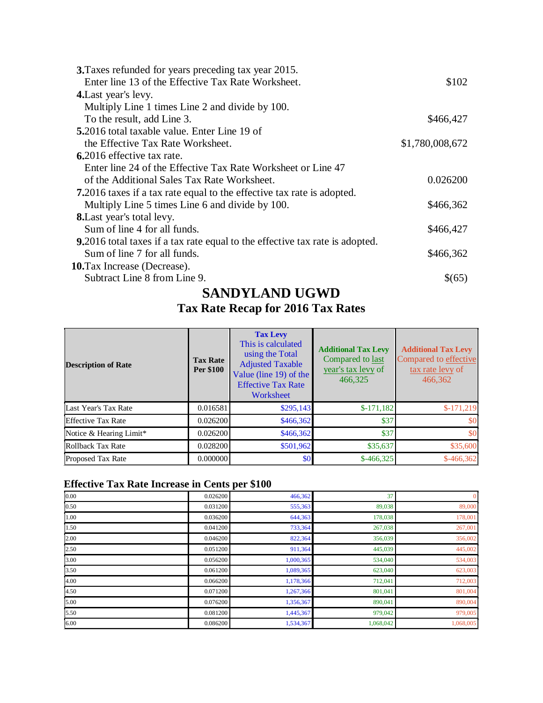| 3. Taxes refunded for years preceding tax year 2015.                                 |                 |
|--------------------------------------------------------------------------------------|-----------------|
| Enter line 13 of the Effective Tax Rate Worksheet.                                   | \$102           |
| <b>4.</b> Last year's levy.                                                          |                 |
| Multiply Line 1 times Line 2 and divide by 100.                                      |                 |
| To the result, add Line 3.                                                           | \$466,427       |
| 5.2016 total taxable value. Enter Line 19 of                                         |                 |
| the Effective Tax Rate Worksheet.                                                    | \$1,780,008,672 |
| 6.2016 effective tax rate.                                                           |                 |
| Enter line 24 of the Effective Tax Rate Worksheet or Line 47                         |                 |
| of the Additional Sales Tax Rate Worksheet.                                          | 0.026200        |
| <b>7.</b> 2016 taxes if a tax rate equal to the effective tax rate is adopted.       |                 |
| Multiply Line 5 times Line 6 and divide by 100.                                      | \$466,362       |
| <b>8.</b> Last year's total levy.                                                    |                 |
| Sum of line 4 for all funds.                                                         | \$466,427       |
| <b>9.</b> 2016 total taxes if a tax rate equal to the effective tax rate is adopted. |                 |
| Sum of line 7 for all funds.                                                         | \$466,362       |
| <b>10.</b> Tax Increase (Decrease).                                                  |                 |
| Subtract Line 8 from Line 9.                                                         | \$(65)          |
|                                                                                      |                 |

#### **SANDYLAND UGWD**

#### **Tax Rate Recap for 2016 Tax Rates**

| <b>Description of Rate</b> | <b>Tax Rate</b><br>Per \$100 | <b>Tax Levy</b><br>This is calculated<br>using the Total<br><b>Adjusted Taxable</b><br>Value (line 19) of the<br><b>Effective Tax Rate</b><br>Worksheet | <b>Additional Tax Levy</b><br>Compared to last<br>year's tax levy of<br>466,325 | <b>Additional Tax Levy</b><br>Compared to effective<br>tax rate levy of<br>466,362 |
|----------------------------|------------------------------|---------------------------------------------------------------------------------------------------------------------------------------------------------|---------------------------------------------------------------------------------|------------------------------------------------------------------------------------|
| Last Year's Tax Rate       | 0.016581                     | \$295,143                                                                                                                                               | $$-171,182$                                                                     | $$-171.219$                                                                        |
| <b>Effective Tax Rate</b>  | 0.026200                     | \$466,362                                                                                                                                               | \$37                                                                            | \$0                                                                                |
| Notice & Hearing Limit*    | 0.026200                     | \$466,362                                                                                                                                               | \$37                                                                            | \$0                                                                                |
| Rollback Tax Rate          | 0.028200                     | \$501,962                                                                                                                                               | \$35,637                                                                        | \$35,600                                                                           |
| <b>Proposed Tax Rate</b>   | 0.000000                     | \$0 <sub>1</sub>                                                                                                                                        | $$-466,325$                                                                     | $$-466,362$                                                                        |

#### **Effective Tax Rate Increase in Cents per \$100**

| 0.00 | 0.026200 | 466,362   | 37        | $\mathbf{0}$ |
|------|----------|-----------|-----------|--------------|
| 0.50 | 0.031200 | 555,363   | 89,038    | 89,000       |
| 1.00 | 0.036200 | 644,363   | 178,038   | 178,001      |
| 1.50 | 0.041200 | 733,364   | 267,038   | 267,001      |
| 2.00 | 0.046200 | 822,364   | 356,039   | 356,002      |
| 2.50 | 0.051200 | 911,364   | 445,039   | 445,002      |
| 3.00 | 0.056200 | 1,000,365 | 534,040   | 534,003      |
| 3.50 | 0.061200 | 1,089,365 | 623,040   | 623,003      |
| 4.00 | 0.066200 | 1,178,366 | 712,041   | 712,003      |
| 4.50 | 0.071200 | 1,267,366 | 801,041   | 801,004      |
| 5.00 | 0.076200 | 1,356,367 | 890,041   | 890,004      |
| 5.50 | 0.081200 | 1,445,367 | 979,042   | 979,005      |
| 6.00 | 0.086200 | 1,534,367 | 1,068,042 | 1,068,005    |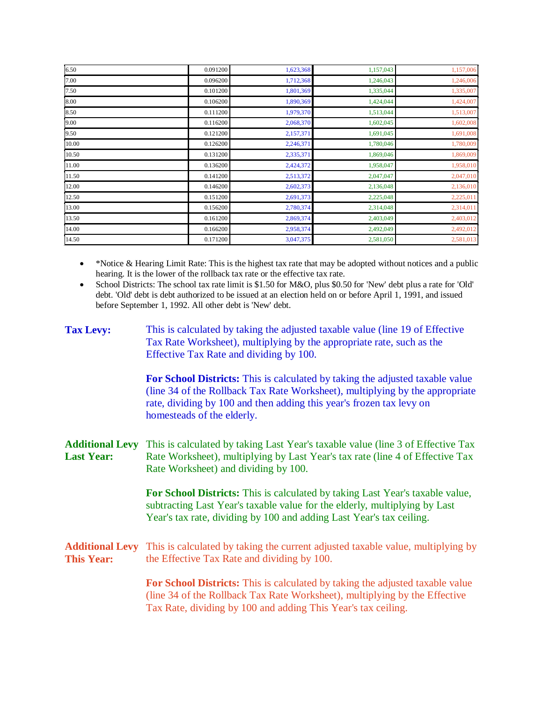| 6.50  | 0.091200 | 1,623,368 | 1,157,043 | 1,157,006 |
|-------|----------|-----------|-----------|-----------|
| 7.00  | 0.096200 | 1,712,368 | 1,246,043 | 1,246,006 |
| 7.50  | 0.101200 | 1,801,369 | 1,335,044 | 1,335,007 |
| 8.00  | 0.106200 | 1,890,369 | 1,424,044 | 1,424,007 |
| 8.50  | 0.111200 | 1,979,370 | 1,513,044 | 1,513,007 |
| 9.00  | 0.116200 | 2,068,370 | 1,602,045 | 1,602,008 |
| 9.50  | 0.121200 | 2,157,371 | 1,691,045 | 1,691,008 |
| 10.00 | 0.126200 | 2,246,371 | 1,780,046 | 1,780,009 |
| 10.50 | 0.131200 | 2,335,371 | 1,869,046 | 1,869,009 |
| 11.00 | 0.136200 | 2,424,372 | 1,958,047 | 1,958,010 |
| 11.50 | 0.141200 | 2,513,372 | 2,047,047 | 2,047,010 |
| 12.00 | 0.146200 | 2,602,373 | 2,136,048 | 2,136,010 |
| 12.50 | 0.151200 | 2,691,373 | 2,225,048 | 2,225,011 |
| 13.00 | 0.156200 | 2,780,374 | 2,314,048 | 2,314,011 |
| 13.50 | 0.161200 | 2,869,374 | 2,403,049 | 2,403,012 |
| 14.00 | 0.166200 | 2,958,374 | 2,492,049 | 2,492,012 |
| 14.50 | 0.171200 | 3,047,375 | 2,581,050 | 2,581,013 |

• \*Notice & Hearing Limit Rate: This is the highest tax rate that may be adopted without notices and a public hearing. It is the lower of the rollback tax rate or the effective tax rate.

• School Districts: The school tax rate limit is \$1.50 for M&O, plus \$0.50 for 'New' debt plus a rate for 'Old' debt. 'Old' debt is debt authorized to be issued at an election held on or before April 1, 1991, and issued before September 1, 1992. All other debt is 'New' debt.

| <b>Tax Levy:</b>                            | This is calculated by taking the adjusted taxable value (line 19 of Effective<br>Tax Rate Worksheet), multiplying by the appropriate rate, such as the<br>Effective Tax Rate and dividing by 100.                                                                   |
|---------------------------------------------|---------------------------------------------------------------------------------------------------------------------------------------------------------------------------------------------------------------------------------------------------------------------|
|                                             | For School Districts: This is calculated by taking the adjusted taxable value<br>(line 34 of the Rollback Tax Rate Worksheet), multiplying by the appropriate<br>rate, dividing by 100 and then adding this year's frozen tax levy on<br>homesteads of the elderly. |
| <b>Additional Levy</b><br><b>Last Year:</b> | This is calculated by taking Last Year's taxable value (line 3 of Effective Tax<br>Rate Worksheet), multiplying by Last Year's tax rate (line 4 of Effective Tax<br>Rate Worksheet) and dividing by 100.                                                            |
|                                             | For School Districts: This is calculated by taking Last Year's taxable value,<br>subtracting Last Year's taxable value for the elderly, multiplying by Last<br>Year's tax rate, dividing by 100 and adding Last Year's tax ceiling.                                 |
| <b>Additional Levy</b><br><b>This Year:</b> | This is calculated by taking the current adjusted taxable value, multiplying by<br>the Effective Tax Rate and dividing by 100.                                                                                                                                      |
|                                             | For School Districts: This is calculated by taking the adjusted taxable value<br>(line 34 of the Rollback Tax Rate Worksheet), multiplying by the Effective<br>Tax Rate, dividing by 100 and adding This Year's tax ceiling.                                        |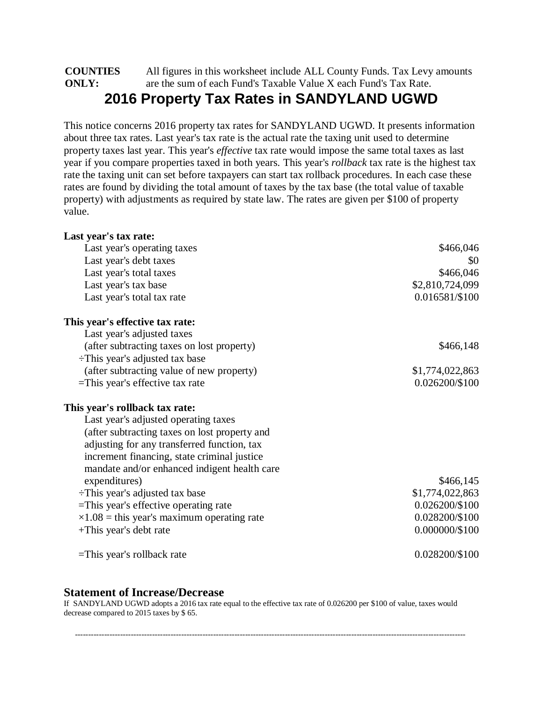#### **COUNTIES ONLY:** All figures in this worksheet include ALL County Funds. Tax Levy amounts are the sum of each Fund's Taxable Value X each Fund's Tax Rate. **2016 Property Tax Rates in SANDYLAND UGWD**

This notice concerns 2016 property tax rates for SANDYLAND UGWD. It presents information about three tax rates. Last year's tax rate is the actual rate the taxing unit used to determine property taxes last year. This year's *effective* tax rate would impose the same total taxes as last year if you compare properties taxed in both years. This year's *rollback* tax rate is the highest tax rate the taxing unit can set before taxpayers can start tax rollback procedures. In each case these rates are found by dividing the total amount of taxes by the tax base (the total value of taxable property) with adjustments as required by state law. The rates are given per \$100 of property value.

| Last year's tax rate:                              |                  |
|----------------------------------------------------|------------------|
| Last year's operating taxes                        | \$466,046        |
| Last year's debt taxes                             | \$0              |
| Last year's total taxes                            | \$466,046        |
| Last year's tax base                               | \$2,810,724,099  |
| Last year's total tax rate                         | 0.016581/\$100   |
| This year's effective tax rate:                    |                  |
| Last year's adjusted taxes                         |                  |
| (after subtracting taxes on lost property)         | \$466,148        |
| $\div$ This year's adjusted tax base               |                  |
| (after subtracting value of new property)          | \$1,774,022,863  |
| $=$ This year's effective tax rate                 | 0.026200/\$100   |
| This year's rollback tax rate:                     |                  |
| Last year's adjusted operating taxes               |                  |
| (after subtracting taxes on lost property and      |                  |
| adjusting for any transferred function, tax        |                  |
| increment financing, state criminal justice        |                  |
| mandate and/or enhanced indigent health care       |                  |
| expenditures)                                      | \$466,145        |
| $\div$ This year's adjusted tax base               | \$1,774,022,863  |
| =This year's effective operating rate              | 0.026200/\$100   |
| $\times 1.08$ = this year's maximum operating rate | 0.028200/\$100   |
| +This year's debt rate                             | $0.000000/\$100$ |
| $=$ This year's rollback rate                      | 0.028200/\$100   |

#### **Statement of Increase/Decrease**

If SANDYLAND UGWD adopts a 2016 tax rate equal to the effective tax rate of 0.026200 per \$100 of value, taxes would decrease compared to 2015 taxes by \$ 65.

---------------------------------------------------------------------------------------------------------------------------------------------------